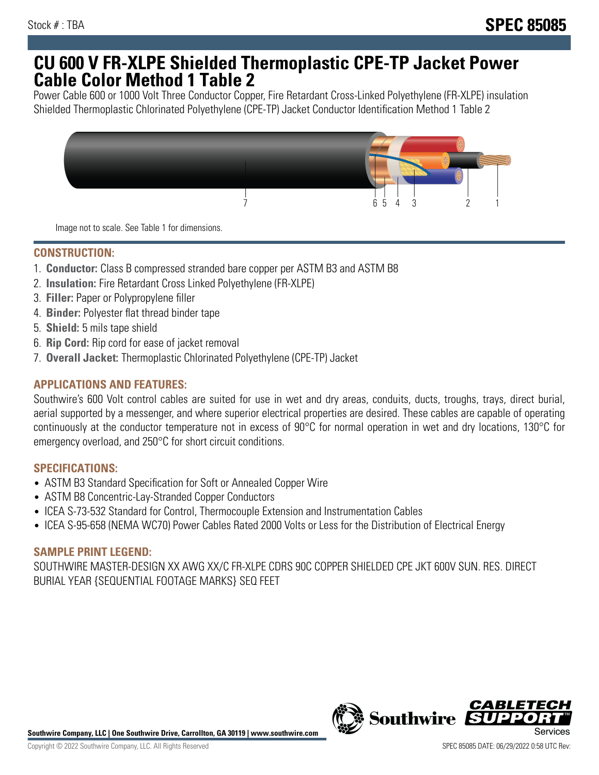## **CU 600 V FR-XLPE Shielded Thermoplastic CPE-TP Jacket Power Cable Color Method 1 Table 2**

Power Cable 600 or 1000 Volt Three Conductor Copper, Fire Retardant Cross-Linked Polyethylene (FR-XLPE) insulation Shielded Thermoplastic Chlorinated Polyethylene (CPE-TP) Jacket Conductor Identification Method 1 Table 2



Image not to scale. See Table 1 for dimensions.

## **CONSTRUCTION:**

- 1. **Conductor:** Class B compressed stranded bare copper per ASTM B3 and ASTM B8
- 2. **Insulation:** Fire Retardant Cross Linked Polyethylene (FR-XLPE)
- 3. **Filler:** Paper or Polypropylene filler
- 4. **Binder:** Polyester flat thread binder tape
- 5. **Shield:** 5 mils tape shield
- 6. **Rip Cord:** Rip cord for ease of jacket removal
- 7. **Overall Jacket:** Thermoplastic Chlorinated Polyethylene (CPE-TP) Jacket

## **APPLICATIONS AND FEATURES:**

Southwire's 600 Volt control cables are suited for use in wet and dry areas, conduits, ducts, troughs, trays, direct burial, aerial supported by a messenger, and where superior electrical properties are desired. These cables are capable of operating continuously at the conductor temperature not in excess of 90°C for normal operation in wet and dry locations, 130°C for emergency overload, and 250°C for short circuit conditions.

#### **SPECIFICATIONS:**

- ASTM B3 Standard Specification for Soft or Annealed Copper Wire
- ASTM B8 Concentric-Lay-Stranded Copper Conductors
- ICEA S-73-532 Standard for Control, Thermocouple Extension and Instrumentation Cables
- ICEA S-95-658 (NEMA WC70) Power Cables Rated 2000 Volts or Less for the Distribution of Electrical Energy

#### **SAMPLE PRINT LEGEND:**

SOUTHWIRE MASTER-DESIGN XX AWG XX/C FR-XLPE CDRS 90C COPPER SHIELDED CPE JKT 600V SUN. RES. DIRECT BURIAL YEAR {SEQUENTIAL FOOTAGE MARKS} SEQ FEET